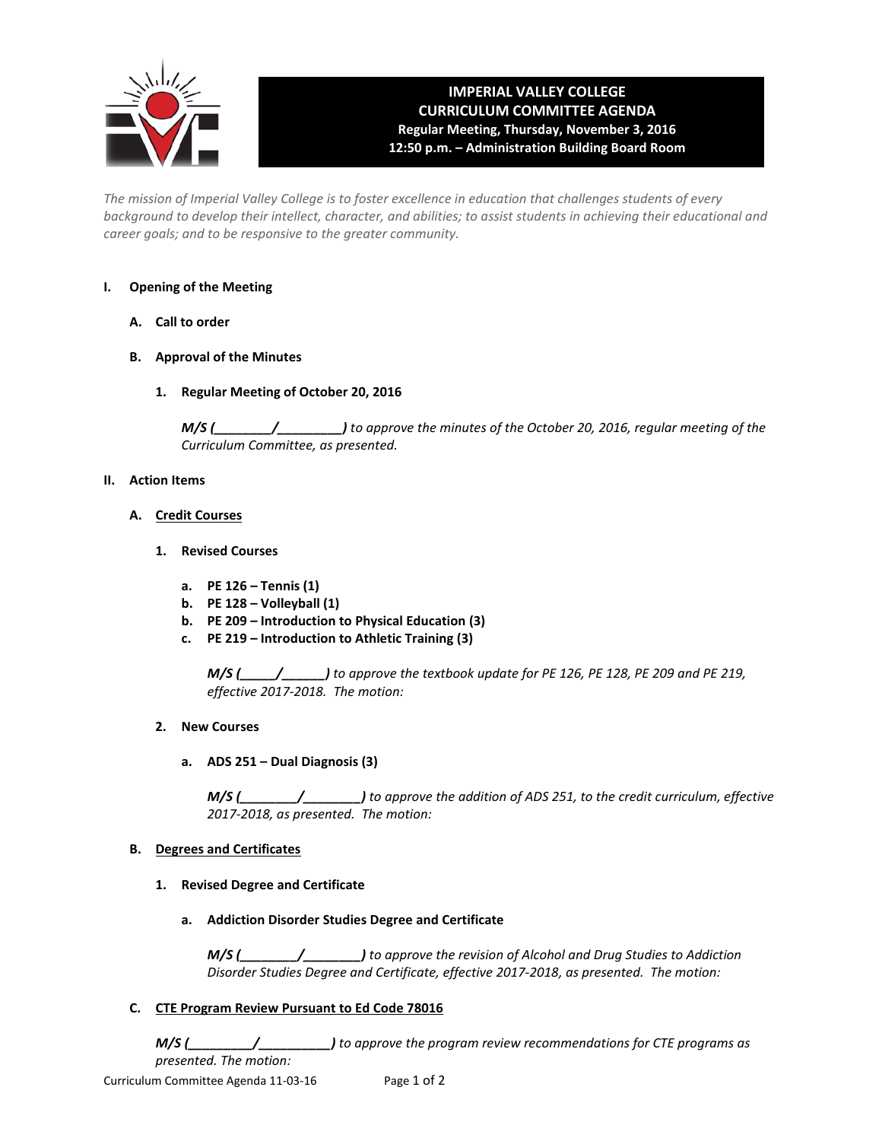

# **IMPERIAL VALLEY COLLEGE CURRICULUM COMMITTEE AGENDA Regular Meeting, Thursday, November 3, 2016 12:50 p.m. – Administration Building Board Room**

*The mission of Imperial Valley College is to foster excellence in education that challenges students of every background to develop their intellect, character, and abilities; to assist students in achieving their educational and career goals; and to be responsive to the greater community.*

# **I. Opening of the Meeting**

- **A. Call to order**
- **B. Approval of the Minutes**
	- **1. Regular Meeting of October 20, 2016**

*M/S (\_\_\_\_\_\_\_\_/\_\_\_\_\_\_\_\_\_) to approve the minutes of the October 20, 2016, regular meeting of the Curriculum Committee, as presented.* 

### **II. Action Items**

- **A. Credit Courses**
	- **1. Revised Courses**
		- **a. PE 126 – Tennis (1)**
		- **b. PE 128 – Volleyball (1)**
		- **b. PE 209 – Introduction to Physical Education (3)**
		- **c. PE 219 – Introduction to Athletic Training (3)**

*M/S (\_\_\_\_\_/\_\_\_\_\_\_) to approve the textbook update for PE 126, PE 128, PE 209 and PE 219, effective 2017-2018. The motion:*

- **2. New Courses**
	- **a. ADS 251 – Dual Diagnosis (3)**

*M/S (\_\_\_\_\_\_\_\_/\_\_\_\_\_\_\_\_) to approve the addition of ADS 251, to the credit curriculum, effective 2017-2018, as presented. The motion:*

### **B. Degrees and Certificates**

- **1. Revised Degree and Certificate**
	- **a. Addiction Disorder Studies Degree and Certificate**

*M/S (\_\_\_\_\_\_\_\_/\_\_\_\_\_\_\_\_) to approve the revision of Alcohol and Drug Studies to Addiction Disorder Studies Degree and Certificate, effective 2017-2018, as presented. The motion:*

# **C. CTE Program Review Pursuant to Ed Code 78016**

*M/S (\_\_\_\_\_\_\_\_\_/\_\_\_\_\_\_\_\_\_\_) to approve the program review recommendations for CTE programs as presented. The motion:*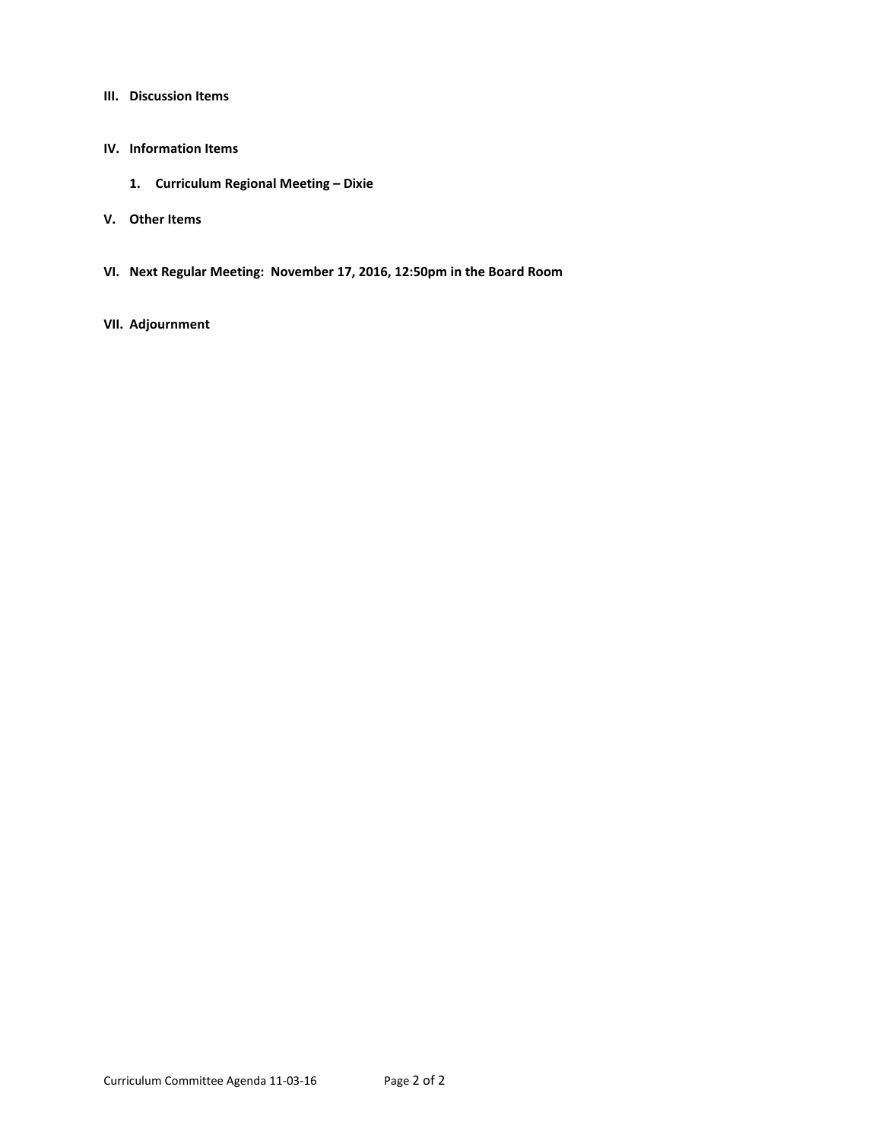**III. Discussion Items**

### **IV. Information Items**

- **1. Curriculum Regional Meeting – Dixie**
- **V. Other Items**
- **VI. Next Regular Meeting: November 17, 2016, 12:50pm in the Board Room**
- **VII. Adjournment**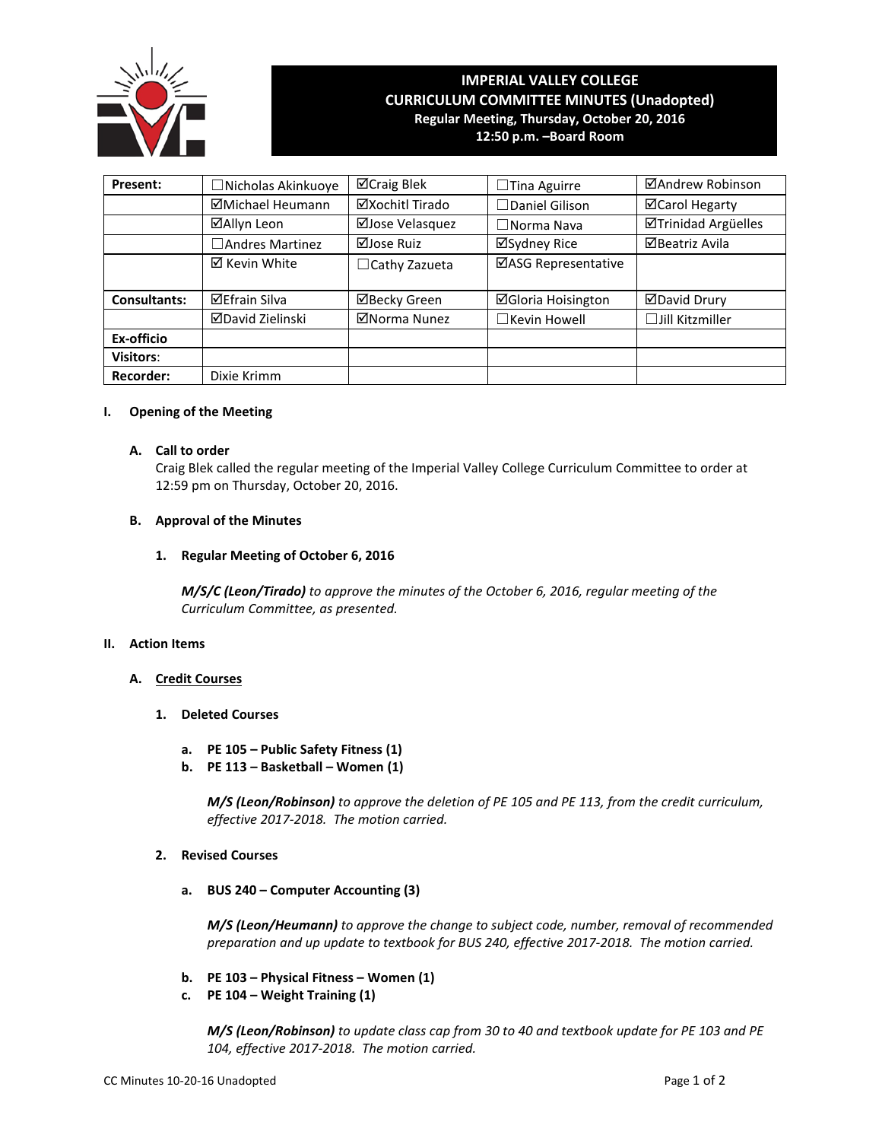

# **IMPERIAL VALLEY COLLEGE CURRICULUM COMMITTEE MINUTES (Unadopted) Regular Meeting, Thursday, October 20, 2016**

**12:50 p.m. –Board Room**

| Present:                        | □ Nicholas Akinkuoye | ⊠Craig Blek          | $\Box$ Tina Aguirre       | ⊠Andrew Robinson                                    |  |  |
|---------------------------------|----------------------|----------------------|---------------------------|-----------------------------------------------------|--|--|
|                                 | ⊠Michael Heumann     | ⊠Xochitl Tirado      | $\Box$ Daniel Gilison     | ⊠Carol Hegarty                                      |  |  |
| ⊠Allyn Leon<br>□Andres Martinez |                      | ⊠Jose Velasquez      | $\Box$ Norma Nava         | <b>ØTrinidad Argüelles</b><br><b>ØBeatriz Avila</b> |  |  |
|                                 |                      | ⊠Jose Ruiz           | ⊠Sydney Rice              |                                                     |  |  |
|                                 | ⊠ Kevin White        | $\Box$ Cathy Zazueta | ⊠ASG Representative       |                                                     |  |  |
| <b>Consultants:</b>             | <b>⊠Efrain Silva</b> | ⊠Becky Green         | <b>⊠Gloria Hoisington</b> | ⊠David Drury                                        |  |  |
|                                 | ⊠David Zielinski     | ⊠Norma Nunez         | □Kevin Howell             | $\Box$ Jill Kitzmiller                              |  |  |
| Ex-officio                      |                      |                      |                           |                                                     |  |  |
| <b>Visitors:</b>                |                      |                      |                           |                                                     |  |  |
| <b>Recorder:</b>                | Dixie Krimm          |                      |                           |                                                     |  |  |

## **I. Opening of the Meeting**

## **A. Call to order**

Craig Blek called the regular meeting of the Imperial Valley College Curriculum Committee to order at 12:59 pm on Thursday, October 20, 2016.

## **B. Approval of the Minutes**

# **1. Regular Meeting of October 6, 2016**

*M/S/C (Leon/Tirado) to approve the minutes of the October 6, 2016, regular meeting of the Curriculum Committee, as presented.* 

# **II. Action Items**

# **A. Credit Courses**

- **1. Deleted Courses**
	- **a. PE 105 – Public Safety Fitness (1)**
	- **b. PE 113 – Basketball – Women (1)**

*M/S (Leon/Robinson) to approve the deletion of PE 105 and PE 113, from the credit curriculum, effective 2017-2018. The motion carried.*

# **2. Revised Courses**

**a. BUS 240 – Computer Accounting (3)**

*M/S (Leon/Heumann) to approve the change to subject code, number, removal of recommended preparation and up update to textbook for BUS 240, effective 2017-2018. The motion carried.*

- **b. PE 103 – Physical Fitness – Women (1)**
- **c. PE 104 – Weight Training (1)**

*M/S (Leon/Robinson) to update class cap from 30 to 40 and textbook update for PE 103 and PE 104, effective 2017-2018. The motion carried.*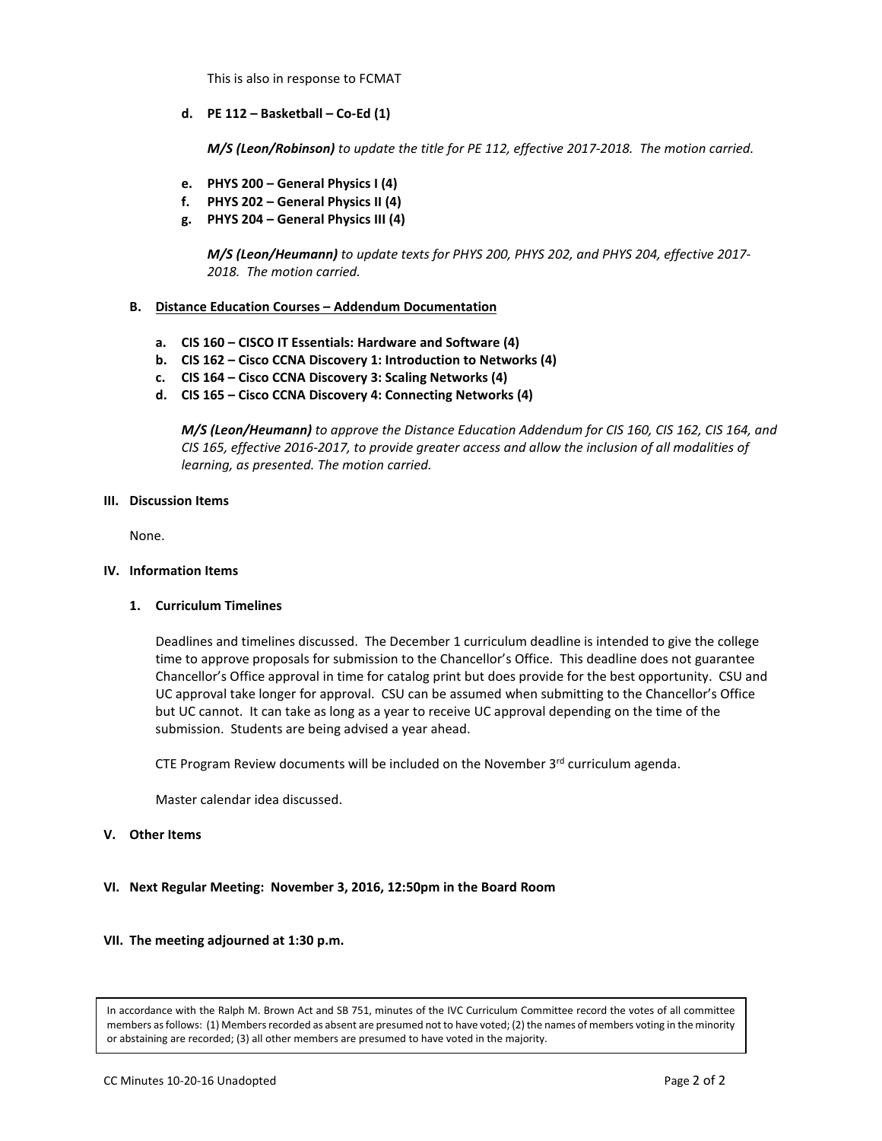This is also in response to FCMAT

**d. PE 112 – Basketball – Co-Ed (1)**

*M/S (Leon/Robinson) to update the title for PE 112, effective 2017-2018. The motion carried.*

- **e. PHYS 200 – General Physics I (4)**
- **f. PHYS 202 – General Physics II (4)**
- **g. PHYS 204 – General Physics III (4)**

*M/S (Leon/Heumann) to update texts for PHYS 200, PHYS 202, and PHYS 204, effective 2017- 2018. The motion carried.*

## **B. Distance Education Courses – Addendum Documentation**

- **a. CIS 160 – CISCO IT Essentials: Hardware and Software (4)**
- **b. CIS 162 – Cisco CCNA Discovery 1: Introduction to Networks (4)**
- **c. CIS 164 – Cisco CCNA Discovery 3: Scaling Networks (4)**
- **d. CIS 165 – Cisco CCNA Discovery 4: Connecting Networks (4)**

*M/S (Leon/Heumann) to approve the Distance Education Addendum for CIS 160, CIS 162, CIS 164, and CIS 165, effective 2016-2017, to provide greater access and allow the inclusion of all modalities of learning, as presented. The motion carried.*

#### **III. Discussion Items**

None.

### **IV. Information Items**

### **1. Curriculum Timelines**

Deadlines and timelines discussed. The December 1 curriculum deadline is intended to give the college time to approve proposals for submission to the Chancellor's Office. This deadline does not guarantee Chancellor's Office approval in time for catalog print but does provide for the best opportunity. CSU and UC approval take longer for approval. CSU can be assumed when submitting to the Chancellor's Office but UC cannot. It can take as long as a year to receive UC approval depending on the time of the submission. Students are being advised a year ahead.

CTE Program Review documents will be included on the November  $3<sup>rd</sup>$  curriculum agenda.

Master calendar idea discussed.

### **V. Other Items**

**VI. Next Regular Meeting: November 3, 2016, 12:50pm in the Board Room**

### **VII. The meeting adjourned at 1:30 p.m.**

In accordance with the Ralph M. Brown Act and SB 751, minutes of the IVC Curriculum Committee record the votes of all committee members as follows: (1) Members recorded as absent are presumed not to have voted; (2) the names of members voting in the minority or abstaining are recorded; (3) all other members are presumed to have voted in the majority.